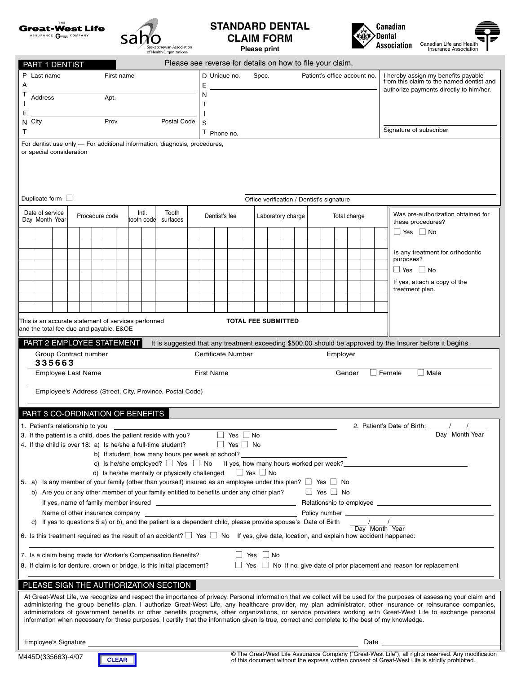



## **STANDARD DENTAL CLAIM FORM Please print**



Canadian Life and<br>Insurance Ass

| nd Health |  |
|-----------|--|

| Please see reverse for details on how to file your claim.<br>PART 1 DENTIST                                                                                                                                                                                                                                                             |                                                                                                                                                                                              |                                 |  |  |                |  |  |       |                                                                                                                                                  |  |                                                       |                    |  |  |                      |  |                            |  |              |  |          |                                                                                 |                                         |                                           |                                                                                                          |
|-----------------------------------------------------------------------------------------------------------------------------------------------------------------------------------------------------------------------------------------------------------------------------------------------------------------------------------------|----------------------------------------------------------------------------------------------------------------------------------------------------------------------------------------------|---------------------------------|--|--|----------------|--|--|-------|--------------------------------------------------------------------------------------------------------------------------------------------------|--|-------------------------------------------------------|--------------------|--|--|----------------------|--|----------------------------|--|--------------|--|----------|---------------------------------------------------------------------------------|-----------------------------------------|-------------------------------------------|----------------------------------------------------------------------------------------------------------|
| P Last name<br>First name                                                                                                                                                                                                                                                                                                               |                                                                                                                                                                                              |                                 |  |  |                |  |  |       |                                                                                                                                                  |  | D Unique no.<br>Spec.<br>Patient's office account no. |                    |  |  |                      |  |                            |  |              |  |          | I hereby assign my benefits payable<br>from this claim to the named dentist and |                                         |                                           |                                                                                                          |
| А<br>т<br>Address                                                                                                                                                                                                                                                                                                                       |                                                                                                                                                                                              |                                 |  |  |                |  |  |       |                                                                                                                                                  |  | N                                                     |                    |  |  |                      |  |                            |  |              |  |          |                                                                                 | authorize payments directly to him/her. |                                           |                                                                                                          |
|                                                                                                                                                                                                                                                                                                                                         | Apt.<br>Т                                                                                                                                                                                    |                                 |  |  |                |  |  |       |                                                                                                                                                  |  |                                                       |                    |  |  |                      |  |                            |  |              |  |          |                                                                                 |                                         |                                           |                                                                                                          |
| Ε<br>Prov.<br>Postal Code<br>N City                                                                                                                                                                                                                                                                                                     |                                                                                                                                                                                              |                                 |  |  |                |  |  |       |                                                                                                                                                  |  | S                                                     |                    |  |  |                      |  |                            |  |              |  |          |                                                                                 |                                         |                                           |                                                                                                          |
| T                                                                                                                                                                                                                                                                                                                                       |                                                                                                                                                                                              |                                 |  |  |                |  |  |       |                                                                                                                                                  |  |                                                       | T Phone no.        |  |  |                      |  |                            |  |              |  |          |                                                                                 |                                         |                                           | Signature of subscriber                                                                                  |
|                                                                                                                                                                                                                                                                                                                                         | For dentist use only - For additional information, diagnosis, procedures,<br>or special consideration                                                                                        |                                 |  |  |                |  |  |       |                                                                                                                                                  |  |                                                       |                    |  |  |                      |  |                            |  |              |  |          |                                                                                 |                                         |                                           |                                                                                                          |
|                                                                                                                                                                                                                                                                                                                                         |                                                                                                                                                                                              |                                 |  |  |                |  |  |       |                                                                                                                                                  |  |                                                       |                    |  |  |                      |  |                            |  |              |  |          |                                                                                 |                                         |                                           |                                                                                                          |
|                                                                                                                                                                                                                                                                                                                                         |                                                                                                                                                                                              |                                 |  |  |                |  |  |       |                                                                                                                                                  |  |                                                       |                    |  |  |                      |  |                            |  |              |  |          |                                                                                 |                                         |                                           |                                                                                                          |
|                                                                                                                                                                                                                                                                                                                                         |                                                                                                                                                                                              |                                 |  |  |                |  |  |       |                                                                                                                                                  |  |                                                       |                    |  |  |                      |  |                            |  |              |  |          |                                                                                 |                                         |                                           |                                                                                                          |
| Duplicate form $\Box$<br>Office verification / Dentist's signature                                                                                                                                                                                                                                                                      |                                                                                                                                                                                              |                                 |  |  |                |  |  |       |                                                                                                                                                  |  |                                                       |                    |  |  |                      |  |                            |  |              |  |          |                                                                                 |                                         |                                           |                                                                                                          |
|                                                                                                                                                                                                                                                                                                                                         | Date of service<br>Day Month Year                                                                                                                                                            |                                 |  |  | Procedure code |  |  | Intl. | Tooth<br>tooth code surfaces                                                                                                                     |  | Dentist's fee                                         |                    |  |  | Laboratory charge    |  |                            |  | Total charge |  |          |                                                                                 |                                         |                                           | Was pre-authorization obtained for                                                                       |
|                                                                                                                                                                                                                                                                                                                                         |                                                                                                                                                                                              |                                 |  |  |                |  |  |       |                                                                                                                                                  |  |                                                       |                    |  |  |                      |  |                            |  |              |  |          |                                                                                 |                                         | these procedures?<br>$\Box$ Yes $\Box$ No |                                                                                                          |
|                                                                                                                                                                                                                                                                                                                                         |                                                                                                                                                                                              |                                 |  |  |                |  |  |       |                                                                                                                                                  |  |                                                       |                    |  |  |                      |  |                            |  |              |  |          |                                                                                 |                                         |                                           |                                                                                                          |
|                                                                                                                                                                                                                                                                                                                                         |                                                                                                                                                                                              |                                 |  |  |                |  |  |       |                                                                                                                                                  |  |                                                       |                    |  |  |                      |  |                            |  |              |  |          |                                                                                 |                                         |                                           | Is any treatment for orthodontic<br>purposes?                                                            |
|                                                                                                                                                                                                                                                                                                                                         |                                                                                                                                                                                              |                                 |  |  |                |  |  |       |                                                                                                                                                  |  |                                                       |                    |  |  |                      |  |                            |  |              |  |          |                                                                                 |                                         |                                           | $\Box$ Yes $\Box$ No                                                                                     |
|                                                                                                                                                                                                                                                                                                                                         |                                                                                                                                                                                              |                                 |  |  |                |  |  |       |                                                                                                                                                  |  |                                                       |                    |  |  |                      |  |                            |  |              |  |          |                                                                                 |                                         |                                           | If yes, attach a copy of the<br>treatment plan.                                                          |
|                                                                                                                                                                                                                                                                                                                                         |                                                                                                                                                                                              |                                 |  |  |                |  |  |       |                                                                                                                                                  |  |                                                       |                    |  |  |                      |  |                            |  |              |  |          |                                                                                 |                                         |                                           |                                                                                                          |
|                                                                                                                                                                                                                                                                                                                                         |                                                                                                                                                                                              |                                 |  |  |                |  |  |       |                                                                                                                                                  |  |                                                       |                    |  |  |                      |  |                            |  |              |  |          |                                                                                 |                                         |                                           |                                                                                                          |
|                                                                                                                                                                                                                                                                                                                                         | This is an accurate statement of services performed<br>and the total fee due and payable. E&OE                                                                                               |                                 |  |  |                |  |  |       |                                                                                                                                                  |  |                                                       |                    |  |  |                      |  | <b>TOTAL FEE SUBMITTED</b> |  |              |  |          |                                                                                 |                                         |                                           |                                                                                                          |
|                                                                                                                                                                                                                                                                                                                                         | PART 2 EMPLOYEE STATEMENT                                                                                                                                                                    |                                 |  |  |                |  |  |       |                                                                                                                                                  |  |                                                       |                    |  |  |                      |  |                            |  |              |  |          |                                                                                 |                                         |                                           | It is suggested that any treatment exceeding \$500.00 should be approved by the Insurer before it begins |
|                                                                                                                                                                                                                                                                                                                                         | Group Contract number                                                                                                                                                                        |                                 |  |  |                |  |  |       |                                                                                                                                                  |  |                                                       | Certificate Number |  |  |                      |  |                            |  |              |  | Employer |                                                                                 |                                         |                                           |                                                                                                          |
|                                                                                                                                                                                                                                                                                                                                         | 335663                                                                                                                                                                                       |                                 |  |  |                |  |  |       |                                                                                                                                                  |  |                                                       |                    |  |  |                      |  |                            |  |              |  |          |                                                                                 |                                         |                                           |                                                                                                          |
|                                                                                                                                                                                                                                                                                                                                         | Employee Last Name                                                                                                                                                                           |                                 |  |  |                |  |  |       |                                                                                                                                                  |  |                                                       | <b>First Name</b>  |  |  |                      |  |                            |  |              |  | Gender   |                                                                                 |                                         |                                           | $\Box$ Male<br>$\Box$ Female                                                                             |
|                                                                                                                                                                                                                                                                                                                                         |                                                                                                                                                                                              |                                 |  |  |                |  |  |       | Employee's Address (Street, City, Province, Postal Code)                                                                                         |  |                                                       |                    |  |  |                      |  |                            |  |              |  |          |                                                                                 |                                         |                                           |                                                                                                          |
|                                                                                                                                                                                                                                                                                                                                         | PART 3 CO-ORDINATION OF BENEFITS                                                                                                                                                             |                                 |  |  |                |  |  |       |                                                                                                                                                  |  |                                                       |                    |  |  |                      |  |                            |  |              |  |          |                                                                                 |                                         |                                           |                                                                                                          |
|                                                                                                                                                                                                                                                                                                                                         | 1. Patient's relationship to you __                                                                                                                                                          |                                 |  |  |                |  |  |       |                                                                                                                                                  |  |                                                       |                    |  |  |                      |  |                            |  |              |  |          |                                                                                 |                                         |                                           |                                                                                                          |
|                                                                                                                                                                                                                                                                                                                                         |                                                                                                                                                                                              |                                 |  |  |                |  |  |       |                                                                                                                                                  |  |                                                       |                    |  |  |                      |  |                            |  |              |  |          |                                                                                 |                                         |                                           | 2. Patient's Date of Birth: $\frac{1}{\sqrt{a}} \frac{1}{\sqrt{b}}$                                      |
| 3. If the patient is a child, does the patient reside with you? $\Box$ Yes $\Box$ No<br>$\Box$ Yes $\Box$ No<br>4. If the child is over 18: a) Is he/she a full-time student?<br>b) If student, how many hours per week at school?                                                                                                      |                                                                                                                                                                                              |                                 |  |  |                |  |  |       |                                                                                                                                                  |  |                                                       |                    |  |  |                      |  |                            |  |              |  |          |                                                                                 |                                         |                                           |                                                                                                          |
|                                                                                                                                                                                                                                                                                                                                         | c) Is he/she employed? $\Box$ Yes $\Box$ No If yes, how many hours worked per week?                                                                                                          |                                 |  |  |                |  |  |       |                                                                                                                                                  |  |                                                       |                    |  |  |                      |  |                            |  |              |  |          |                                                                                 |                                         |                                           |                                                                                                          |
|                                                                                                                                                                                                                                                                                                                                         | d) Is he/she mentally or physically challenged $\Box$ Yes $\Box$ No<br>5. a) Is any member of your family (other than yourself) insured as an employee under this plan? $\Box$ Yes $\Box$ No |                                 |  |  |                |  |  |       |                                                                                                                                                  |  |                                                       |                    |  |  |                      |  |                            |  |              |  |          |                                                                                 |                                         |                                           |                                                                                                          |
|                                                                                                                                                                                                                                                                                                                                         |                                                                                                                                                                                              |                                 |  |  |                |  |  |       | b) Are you or any other member of your family entitled to benefits under any other plan? $\Box$ Yes $\Box$ No                                    |  |                                                       |                    |  |  |                      |  |                            |  |              |  |          |                                                                                 |                                         |                                           |                                                                                                          |
|                                                                                                                                                                                                                                                                                                                                         |                                                                                                                                                                                              |                                 |  |  |                |  |  |       |                                                                                                                                                  |  |                                                       |                    |  |  |                      |  |                            |  |              |  |          |                                                                                 |                                         |                                           |                                                                                                          |
|                                                                                                                                                                                                                                                                                                                                         | C)                                                                                                                                                                                           | Name of other insurance company |  |  |                |  |  |       | If yes to questions 5 a) or b), and the patient is a dependent child, please provide spouse's Date of Birth                                      |  |                                                       |                    |  |  |                      |  |                            |  |              |  |          |                                                                                 |                                         |                                           |                                                                                                          |
|                                                                                                                                                                                                                                                                                                                                         |                                                                                                                                                                                              |                                 |  |  |                |  |  |       | 6. Is this treatment required as the result of an accident? $\Box$ Yes $\Box$ No If yes, give date, location, and explain how accident happened: |  |                                                       |                    |  |  |                      |  |                            |  |              |  |          |                                                                                 |                                         |                                           | Day Month Year                                                                                           |
|                                                                                                                                                                                                                                                                                                                                         |                                                                                                                                                                                              |                                 |  |  |                |  |  |       |                                                                                                                                                  |  |                                                       |                    |  |  |                      |  |                            |  |              |  |          |                                                                                 |                                         |                                           |                                                                                                          |
|                                                                                                                                                                                                                                                                                                                                         |                                                                                                                                                                                              |                                 |  |  |                |  |  |       | 7. Is a claim being made for Worker's Compensation Benefits?                                                                                     |  |                                                       |                    |  |  | $\Box$ Yes $\Box$ No |  |                            |  |              |  |          |                                                                                 |                                         |                                           |                                                                                                          |
| $\Box$ Yes $\Box$ No If no, give date of prior placement and reason for replacement<br>8. If claim is for denture, crown or bridge, is this initial placement?                                                                                                                                                                          |                                                                                                                                                                                              |                                 |  |  |                |  |  |       |                                                                                                                                                  |  |                                                       |                    |  |  |                      |  |                            |  |              |  |          |                                                                                 |                                         |                                           |                                                                                                          |
| PLEASE SIGN THE AUTHORIZATION SECTION                                                                                                                                                                                                                                                                                                   |                                                                                                                                                                                              |                                 |  |  |                |  |  |       |                                                                                                                                                  |  |                                                       |                    |  |  |                      |  |                            |  |              |  |          |                                                                                 |                                         |                                           |                                                                                                          |
| At Great-West Life, we recognize and respect the importance of privacy. Personal information that we collect will be used for the purposes of assessing your claim and<br>administering the group benefits plan. I authorize Great-West Life, any healthcare provider, my plan administrator, other insurance or reinsurance companies, |                                                                                                                                                                                              |                                 |  |  |                |  |  |       |                                                                                                                                                  |  |                                                       |                    |  |  |                      |  |                            |  |              |  |          |                                                                                 |                                         |                                           |                                                                                                          |
| administrators of government benefits or other benefits programs, other organizations, or service providers working with Great-West Life to exchange personal<br>information when necessary for these purposes. I certify that the information given is true, correct and complete to the best of my knowledge.                         |                                                                                                                                                                                              |                                 |  |  |                |  |  |       |                                                                                                                                                  |  |                                                       |                    |  |  |                      |  |                            |  |              |  |          |                                                                                 |                                         |                                           |                                                                                                          |
|                                                                                                                                                                                                                                                                                                                                         |                                                                                                                                                                                              |                                 |  |  |                |  |  |       |                                                                                                                                                  |  |                                                       |                    |  |  |                      |  |                            |  |              |  |          |                                                                                 |                                         |                                           |                                                                                                          |
|                                                                                                                                                                                                                                                                                                                                         | Employee's Signature<br>Date                                                                                                                                                                 |                                 |  |  |                |  |  |       |                                                                                                                                                  |  |                                                       |                    |  |  |                      |  |                            |  |              |  |          |                                                                                 |                                         |                                           |                                                                                                          |

M445D(335663)-4/07



© The Great-West Life Assurance Company ("Great-West Life"), all rights reserved. Any modification of this document without the express written consent of Great-West Life is strictly prohibited.